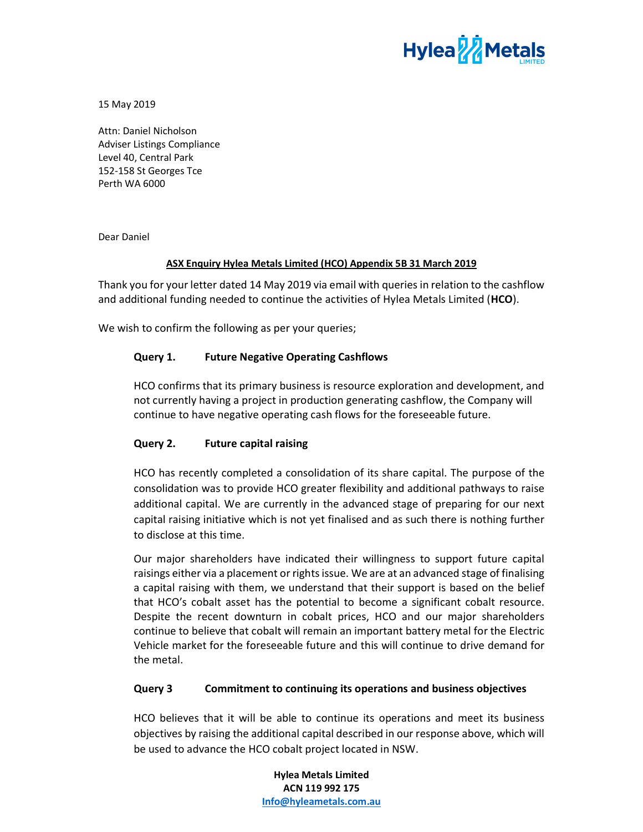

15 May 2019

Attn: Daniel Nicholson Adviser Listings Compliance Level 40, Central Park 152-158 St Georges Tce Perth WA 6000

Dear Daniel

## ASX Enquiry Hylea Metals Limited (HCO) Appendix 5B 31 March 2019

Thank you for your letter dated 14 May 2019 via email with queries in relation to the cashflow and additional funding needed to continue the activities of Hylea Metals Limited (HCO).

We wish to confirm the following as per your queries;

# Query 1. Future Negative Operating Cashflows

HCO confirms that its primary business is resource exploration and development, and not currently having a project in production generating cashflow, the Company will continue to have negative operating cash flows for the foreseeable future.

# Query 2. Future capital raising

HCO has recently completed a consolidation of its share capital. The purpose of the consolidation was to provide HCO greater flexibility and additional pathways to raise additional capital. We are currently in the advanced stage of preparing for our next capital raising initiative which is not yet finalised and as such there is nothing further to disclose at this time.

Our major shareholders have indicated their willingness to support future capital raisings either via a placement or rights issue. We are at an advanced stage of finalising a capital raising with them, we understand that their support is based on the belief that HCO's cobalt asset has the potential to become a significant cobalt resource. Despite the recent downturn in cobalt prices, HCO and our major shareholders continue to believe that cobalt will remain an important battery metal for the Electric Vehicle market for the foreseeable future and this will continue to drive demand for the metal.

### Query 3 Commitment to continuing its operations and business objectives

HCO believes that it will be able to continue its operations and meet its business objectives by raising the additional capital described in our response above, which will be used to advance the HCO cobalt project located in NSW.

> Hylea Metals Limited ACN 119 992 175 Info@hyleametals.com.au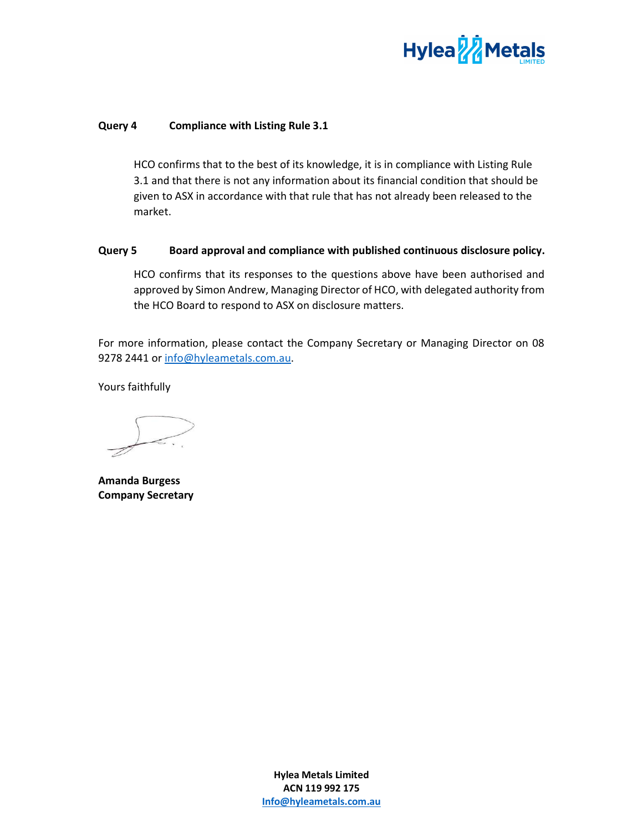

## Query 4 Compliance with Listing Rule 3.1

HCO confirms that to the best of its knowledge, it is in compliance with Listing Rule 3.1 and that there is not any information about its financial condition that should be given to ASX in accordance with that rule that has not already been released to the market.

### Query 5 Board approval and compliance with published continuous disclosure policy.

HCO confirms that its responses to the questions above have been authorised and approved by Simon Andrew, Managing Director of HCO, with delegated authority from the HCO Board to respond to ASX on disclosure matters.

For more information, please contact the Company Secretary or Managing Director on 08 9278 2441 or info@hyleametals.com.au.

Yours faithfully

Amanda Burgess Company Secretary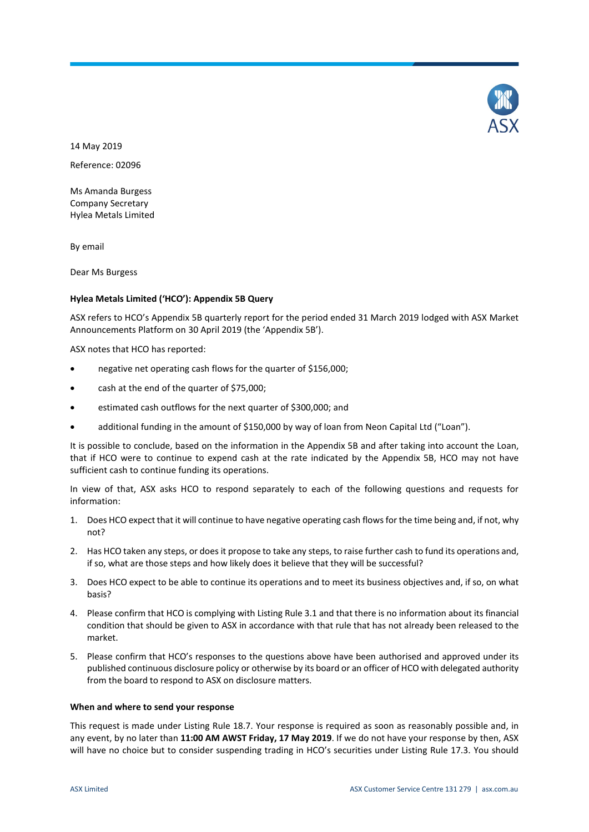

14 May 2019 Reference: 02096

Ms Amanda Burgess Company Secretary Hylea Metals Limited

By email

Dear Ms Burgess

#### **Hylea Metals Limited ('HCO'): Appendix 5B Query**

ASX refers to HCO's Appendix 5B quarterly report for the period ended 31 March 2019 lodged with ASX Market Announcements Platform on 30 April 2019 (the 'Appendix 5B').

ASX notes that HCO has reported:

- negative net operating cash flows for the quarter of \$156,000;
- cash at the end of the quarter of \$75,000;
- estimated cash outflows for the next quarter of \$300,000; and
- additional funding in the amount of \$150,000 by way of loan from Neon Capital Ltd ("Loan").

It is possible to conclude, based on the information in the Appendix 5B and after taking into account the Loan, that if HCO were to continue to expend cash at the rate indicated by the Appendix 5B, HCO may not have sufficient cash to continue funding its operations.

In view of that, ASX asks HCO to respond separately to each of the following questions and requests for information:

- 1. Does HCO expect that it will continue to have negative operating cash flows for the time being and, if not, why not?
- 2. Has HCO taken any steps, or does it propose to take any steps, to raise further cash to fund its operations and, if so, what are those steps and how likely does it believe that they will be successful?
- 3. Does HCO expect to be able to continue its operations and to meet its business objectives and, if so, on what basis?
- 4. Please confirm that HCO is complying with Listing Rule 3.1 and that there is no information about its financial condition that should be given to ASX in accordance with that rule that has not already been released to the market.
- 5. Please confirm that HCO's responses to the questions above have been authorised and approved under its published continuous disclosure policy or otherwise by its board or an officer of HCO with delegated authority from the board to respond to ASX on disclosure matters.

#### **When and where to send your response**

This request is made under Listing Rule 18.7. Your response is required as soon as reasonably possible and, in any event, by no later than **11:00 AM AWST Friday, 17 May 2019**. If we do not have your response by then, ASX will have no choice but to consider suspending trading in HCO's securities under Listing Rule 17.3. You should